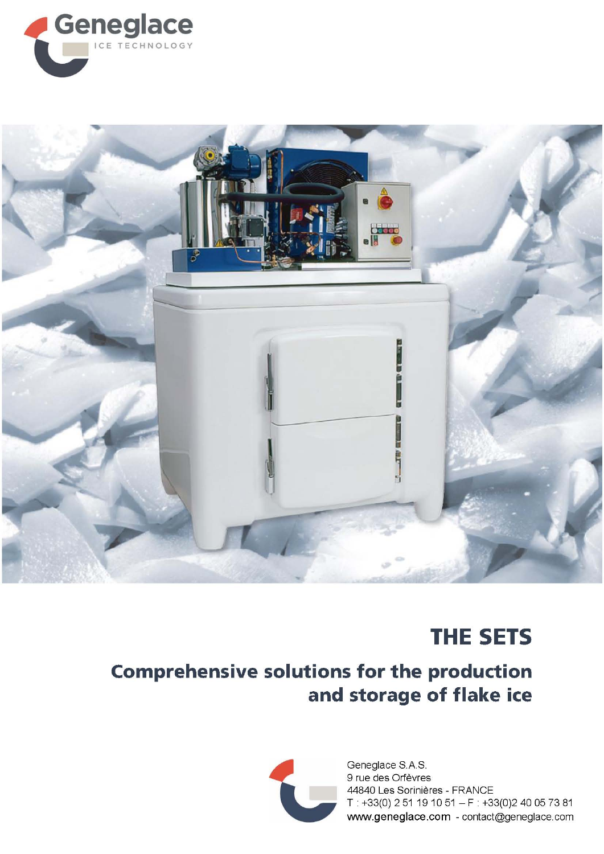



## **THE SETS**

## **Comprehensive solutions for the production** and storage of flake ice



Geneglace S.A.S. 9 rue des Orfèvres 44840 Les Sorinières - FRANCE T: +33(0) 2 51 19 10 51 - F: +33(0)2 40 05 73 81 www.geneglace.com - contact@geneglace.com